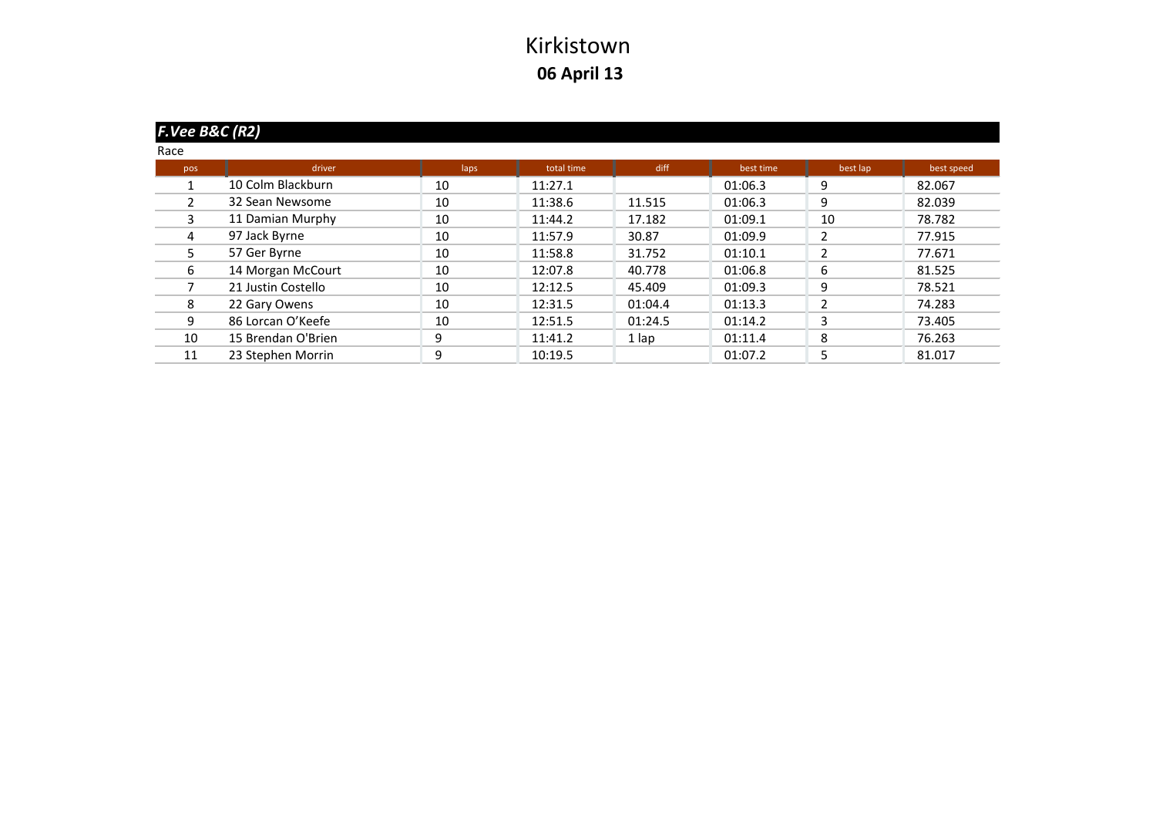|                | $F.Vee$ B&C (R2)   |      |            |         |           |                |            |  |  |  |  |
|----------------|--------------------|------|------------|---------|-----------|----------------|------------|--|--|--|--|
| Race           |                    |      |            |         |           |                |            |  |  |  |  |
| pos            | driver             | laps | total time | diff    | best time | best lap       | best speed |  |  |  |  |
|                | 10 Colm Blackburn  | 10   | 11:27.1    |         | 01:06.3   | 9              | 82.067     |  |  |  |  |
| $\mathfrak{p}$ | 32 Sean Newsome    | 10   | 11:38.6    | 11.515  | 01:06.3   | 9              | 82.039     |  |  |  |  |
| 3              | 11 Damian Murphy   | 10   | 11:44.2    | 17.182  | 01:09.1   | 10             | 78.782     |  |  |  |  |
| 4              | 97 Jack Byrne      | 10   | 11:57.9    | 30.87   | 01:09.9   | 2              | 77.915     |  |  |  |  |
| 5              | 57 Ger Byrne       | 10   | 11:58.8    | 31.752  | 01:10.1   | $\overline{2}$ | 77.671     |  |  |  |  |
| 6              | 14 Morgan McCourt  | 10   | 12:07.8    | 40.778  | 01:06.8   | 6              | 81.525     |  |  |  |  |
|                | 21 Justin Costello | 10   | 12:12.5    | 45.409  | 01:09.3   | 9              | 78.521     |  |  |  |  |
| 8              | 22 Gary Owens      | 10   | 12:31.5    | 01:04.4 | 01:13.3   | $\overline{2}$ | 74.283     |  |  |  |  |
| 9              | 86 Lorcan O'Keefe  | 10   | 12:51.5    | 01:24.5 | 01:14.2   | 3              | 73.405     |  |  |  |  |
| 10             | 15 Brendan O'Brien | 9    | 11:41.2    | 1 lap   | 01:11.4   | 8              | 76.263     |  |  |  |  |
| 11             | 23 Stephen Morrin  | 9    | 10:19.5    |         | 01:07.2   | 5              | 81.017     |  |  |  |  |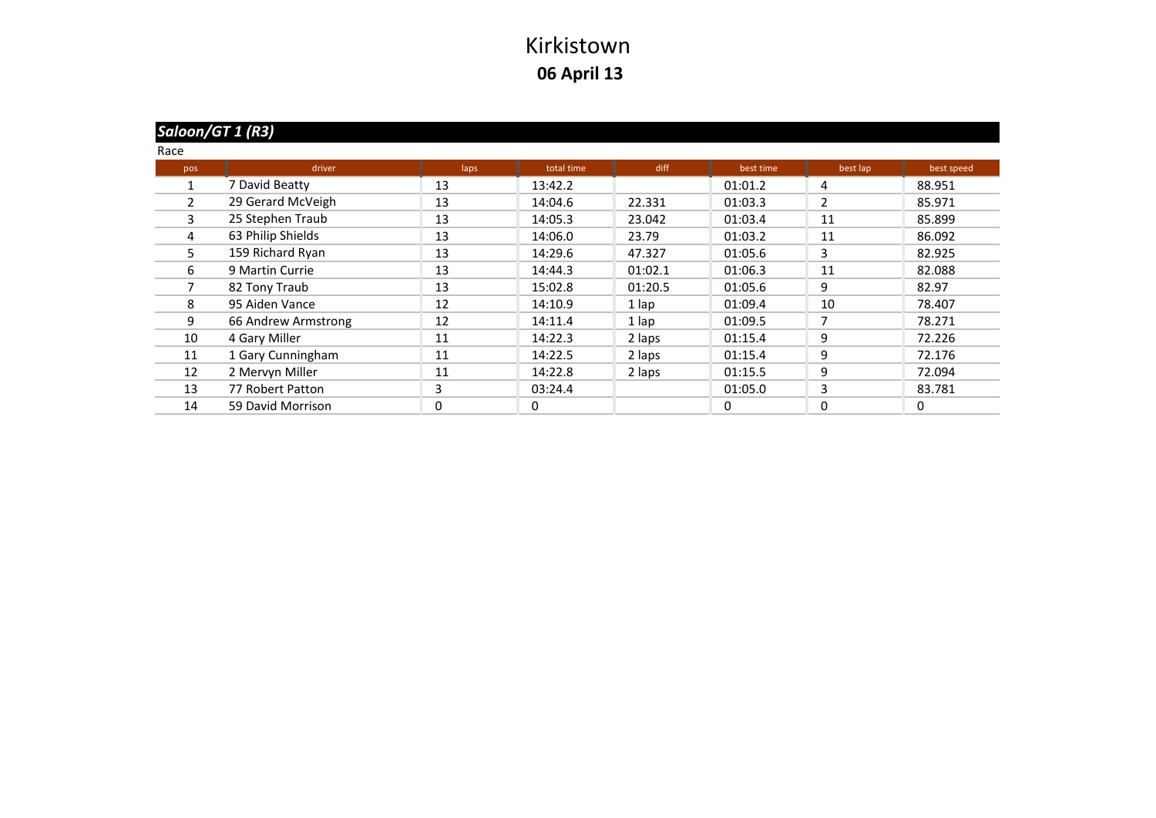| Race |     |                     |      |            |         |           |          |            |
|------|-----|---------------------|------|------------|---------|-----------|----------|------------|
|      | pos | driver              | laps | total time | diff    | best time | best lap | best speed |
|      |     | 7 David Beatty      | 13   | 13:42.2    |         | 01:01.2   | 4        | 88.951     |
|      | 2   | 29 Gerard McVeigh   | 13   | 14:04.6    | 22.331  | 01:03.3   | 2        | 85.971     |
|      | 3   | 25 Stephen Traub    | 13   | 14:05.3    | 23.042  | 01:03.4   | 11       | 85.899     |
|      | 4   | 63 Philip Shields   | 13   | 14:06.0    | 23.79   | 01:03.2   | 11       | 86.092     |
|      | 5   | 159 Richard Ryan    | 13   | 14:29.6    | 47.327  | 01:05.6   | 3        | 82.925     |
|      | 6   | 9 Martin Currie     | 13   | 14:44.3    | 01:02.1 | 01:06.3   | 11       | 82.088     |
|      |     | 82 Tony Traub       | 13   | 15:02.8    | 01:20.5 | 01:05.6   | 9        | 82.97      |
|      | 8   | 95 Aiden Vance      | 12   | 14:10.9    | 1 lap   | 01:09.4   | 10       | 78.407     |
|      | 9   | 66 Andrew Armstrong | 12   | 14:11.4    | 1 lap   | 01:09.5   | 7        | 78.271     |
|      | 10  | 4 Gary Miller       | 11   | 14:22.3    | 2 laps  | 01:15.4   | 9        | 72.226     |
|      | 11  | 1 Gary Cunningham   | 11   | 14:22.5    | 2 laps  | 01:15.4   | 9        | 72.176     |
|      | 12  | 2 Mervyn Miller     | 11   | 14:22.8    | 2 laps  | 01:15.5   | 9        | 72.094     |
|      | 13  | 77 Robert Patton    | 3    | 03:24.4    |         | 01:05.0   | 3        | 83.781     |
|      | 14  | 59 David Morrison   | 0    | 0          |         | $\Omega$  | $\Omega$ | 0          |
|      |     |                     |      |            |         |           |          |            |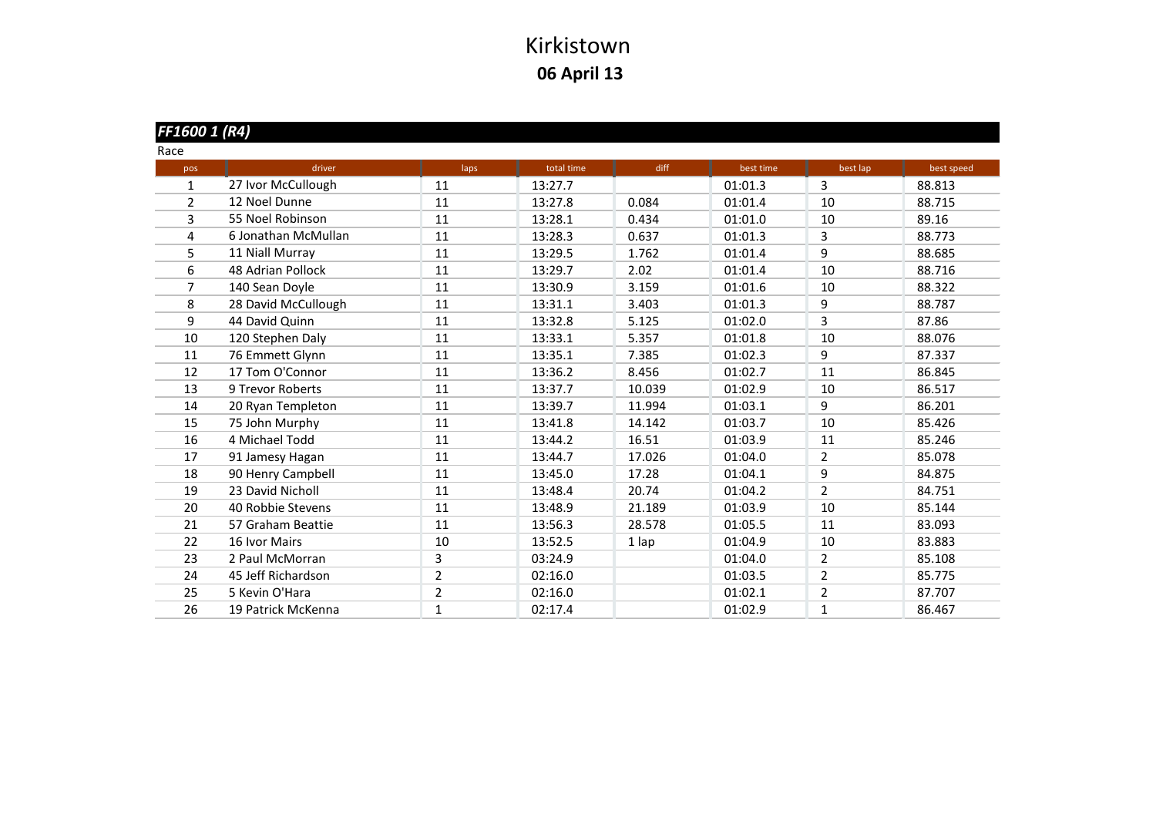| FF1600 1 (R4)  |                     |                |            |        |           |                |            |
|----------------|---------------------|----------------|------------|--------|-----------|----------------|------------|
| Race           |                     |                |            |        |           |                |            |
| pos            | driver              | laps           | total time | diff   | best time | best lap       | best speed |
| $\mathbf{1}$   | 27 Ivor McCullough  | 11             | 13:27.7    |        | 01:01.3   | 3              | 88.813     |
| $\overline{2}$ | 12 Noel Dunne       | 11             | 13:27.8    | 0.084  | 01:01.4   | 10             | 88.715     |
| 3              | 55 Noel Robinson    | 11             | 13:28.1    | 0.434  | 01:01.0   | 10             | 89.16      |
| 4              | 6 Jonathan McMullan | 11             | 13:28.3    | 0.637  | 01:01.3   | 3              | 88.773     |
| 5              | 11 Niall Murray     | 11             | 13:29.5    | 1.762  | 01:01.4   | 9              | 88.685     |
| 6              | 48 Adrian Pollock   | 11             | 13:29.7    | 2.02   | 01:01.4   | 10             | 88.716     |
| 7              | 140 Sean Doyle      | 11             | 13:30.9    | 3.159  | 01:01.6   | 10             | 88.322     |
| 8              | 28 David McCullough | 11             | 13:31.1    | 3.403  | 01:01.3   | 9              | 88.787     |
| 9              | 44 David Quinn      | 11             | 13:32.8    | 5.125  | 01:02.0   | 3              | 87.86      |
| 10             | 120 Stephen Daly    | 11             | 13:33.1    | 5.357  | 01:01.8   | 10             | 88.076     |
| 11             | 76 Emmett Glynn     | 11             | 13:35.1    | 7.385  | 01:02.3   | 9              | 87.337     |
| 12             | 17 Tom O'Connor     | 11             | 13:36.2    | 8.456  | 01:02.7   | 11             | 86.845     |
| 13             | 9 Trevor Roberts    | 11             | 13:37.7    | 10.039 | 01:02.9   | 10             | 86.517     |
| 14             | 20 Ryan Templeton   | 11             | 13:39.7    | 11.994 | 01:03.1   | 9              | 86.201     |
| 15             | 75 John Murphy      | 11             | 13:41.8    | 14.142 | 01:03.7   | 10             | 85.426     |
| 16             | 4 Michael Todd      | 11             | 13:44.2    | 16.51  | 01:03.9   | 11             | 85.246     |
| 17             | 91 Jamesy Hagan     | 11             | 13:44.7    | 17.026 | 01:04.0   | $\overline{2}$ | 85.078     |
| 18             | 90 Henry Campbell   | 11             | 13:45.0    | 17.28  | 01:04.1   | 9              | 84.875     |
| 19             | 23 David Nicholl    | 11             | 13:48.4    | 20.74  | 01:04.2   | $\overline{2}$ | 84.751     |
| 20             | 40 Robbie Stevens   | 11             | 13:48.9    | 21.189 | 01:03.9   | 10             | 85.144     |
| 21             | 57 Graham Beattie   | 11             | 13:56.3    | 28.578 | 01:05.5   | 11             | 83.093     |
| 22             | 16 Ivor Mairs       | 10             | 13:52.5    | 1 lap  | 01:04.9   | 10             | 83.883     |
| 23             | 2 Paul McMorran     | 3              | 03:24.9    |        | 01:04.0   | $\overline{2}$ | 85.108     |
| 24             | 45 Jeff Richardson  | $\overline{2}$ | 02:16.0    |        | 01:03.5   | 2              | 85.775     |
| 25             | 5 Kevin O'Hara      | $\overline{2}$ | 02:16.0    |        | 01:02.1   | $\overline{2}$ | 87.707     |
| 26             | 19 Patrick McKenna  | 1              | 02:17.4    |        | 01:02.9   | 1              | 86.467     |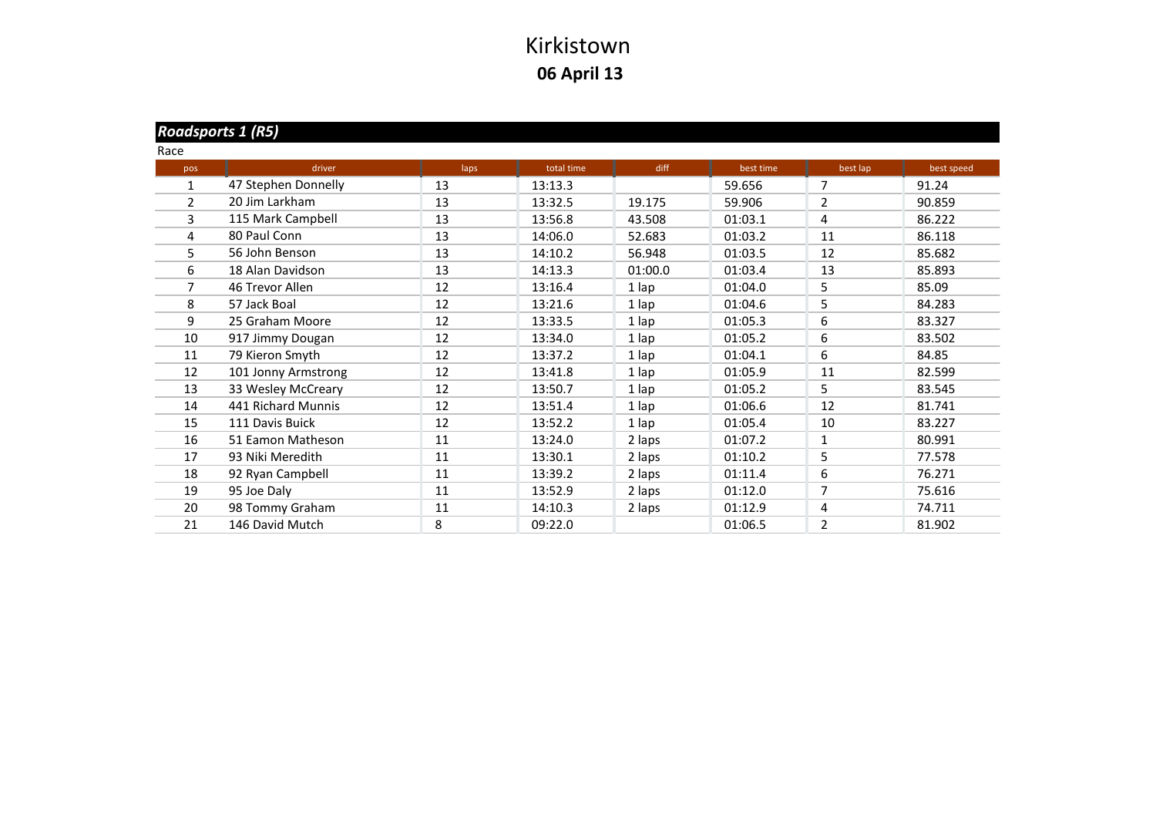#### *Roadsports 1 (R5)*

| Race           |                     |      |            |         |           |                |            |
|----------------|---------------------|------|------------|---------|-----------|----------------|------------|
| pos            | driver              | laps | total time | diff    | best time | best lap       | best speed |
| 1              | 47 Stephen Donnelly | 13   | 13:13.3    |         | 59.656    | 7              | 91.24      |
| $\overline{2}$ | 20 Jim Larkham      | 13   | 13:32.5    | 19.175  | 59.906    | $\overline{2}$ | 90.859     |
| 3              | 115 Mark Campbell   | 13   | 13:56.8    | 43.508  | 01:03.1   | 4              | 86.222     |
| 4              | 80 Paul Conn        | 13   | 14:06.0    | 52.683  | 01:03.2   | 11             | 86.118     |
| 5              | 56 John Benson      | 13   | 14:10.2    | 56.948  | 01:03.5   | 12             | 85.682     |
| 6              | 18 Alan Davidson    | 13   | 14:13.3    | 01:00.0 | 01:03.4   | 13             | 85.893     |
| 7              | 46 Trevor Allen     | 12   | 13:16.4    | 1 lap   | 01:04.0   | 5              | 85.09      |
| 8              | 57 Jack Boal        | 12   | 13:21.6    | 1 lap   | 01:04.6   | 5              | 84.283     |
| 9              | 25 Graham Moore     | 12   | 13:33.5    | 1 lap   | 01:05.3   | 6              | 83.327     |
| 10             | 917 Jimmy Dougan    | 12   | 13:34.0    | 1 lap   | 01:05.2   | 6              | 83.502     |
| 11             | 79 Kieron Smyth     | 12   | 13:37.2    | 1 lap   | 01:04.1   | 6              | 84.85      |
| 12             | 101 Jonny Armstrong | 12   | 13:41.8    | 1 lap   | 01:05.9   | 11             | 82.599     |
| 13             | 33 Wesley McCreary  | 12   | 13:50.7    | 1 lap   | 01:05.2   | 5              | 83.545     |
| 14             | 441 Richard Munnis  | 12   | 13:51.4    | 1 lap   | 01:06.6   | 12             | 81.741     |
| 15             | 111 Davis Buick     | 12   | 13:52.2    | 1 lap   | 01:05.4   | 10             | 83.227     |
| 16             | 51 Eamon Matheson   | 11   | 13:24.0    | 2 laps  | 01:07.2   | 1              | 80.991     |
| 17             | 93 Niki Meredith    | 11   | 13:30.1    | 2 laps  | 01:10.2   | 5              | 77.578     |
| 18             | 92 Ryan Campbell    | 11   | 13:39.2    | 2 laps  | 01:11.4   | 6              | 76.271     |
| 19             | 95 Joe Daly         | 11   | 13:52.9    | 2 laps  | 01:12.0   | $\overline{7}$ | 75.616     |
| 20             | 98 Tommy Graham     | 11   | 14:10.3    | 2 laps  | 01:12.9   | 4              | 74.711     |
| 21             | 146 David Mutch     | 8    | 09:22.0    |         | 01:06.5   | $\overline{2}$ | 81.902     |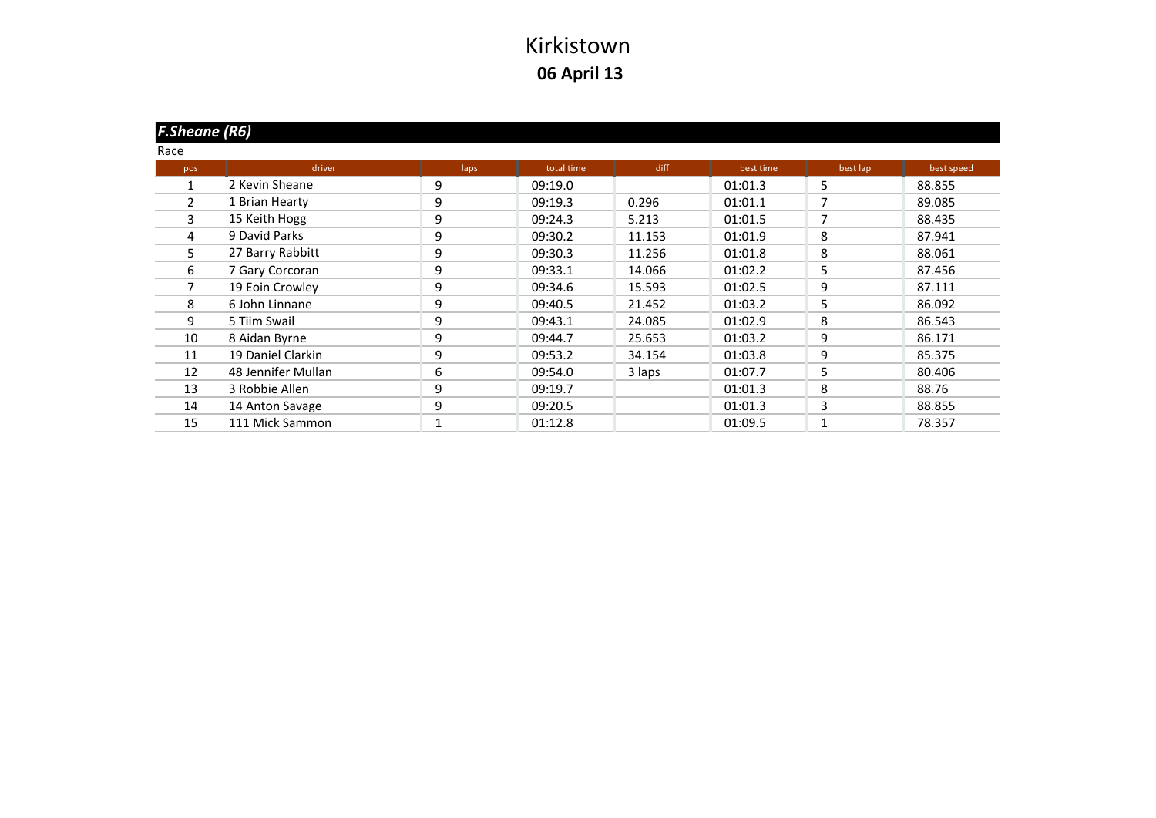| <b>F.Sheane (R6)</b> |                    |      |            |        |           |          |            |
|----------------------|--------------------|------|------------|--------|-----------|----------|------------|
| Race                 |                    |      |            |        |           |          |            |
| pos                  | driver             | laps | total time | diff   | best time | best lap | best speed |
|                      | 2 Kevin Sheane     | 9    | 09:19.0    |        | 01:01.3   | 5        | 88.855     |
| 2                    | 1 Brian Hearty     | 9    | 09:19.3    | 0.296  | 01:01.1   | 7        | 89.085     |
| 3                    | 15 Keith Hogg      | 9    | 09:24.3    | 5.213  | 01:01.5   | 7        | 88.435     |
| 4                    | 9 David Parks      | 9    | 09:30.2    | 11.153 | 01:01.9   | 8        | 87.941     |
| 5                    | 27 Barry Rabbitt   | 9    | 09:30.3    | 11.256 | 01:01.8   | 8        | 88.061     |
| 6                    | 7 Gary Corcoran    | 9    | 09:33.1    | 14.066 | 01:02.2   | 5        | 87.456     |
| 7                    | 19 Eoin Crowley    | 9    | 09:34.6    | 15.593 | 01:02.5   | 9        | 87.111     |
| 8                    | 6 John Linnane     | 9    | 09:40.5    | 21.452 | 01:03.2   | 5        | 86.092     |
| 9                    | 5 Tiim Swail       | 9    | 09:43.1    | 24.085 | 01:02.9   | 8        | 86.543     |
| 10                   | 8 Aidan Byrne      | 9    | 09:44.7    | 25.653 | 01:03.2   | 9        | 86.171     |
| 11                   | 19 Daniel Clarkin  | 9    | 09:53.2    | 34.154 | 01:03.8   | 9        | 85.375     |
| 12                   | 48 Jennifer Mullan | 6    | 09:54.0    | 3 laps | 01:07.7   | 5        | 80.406     |
| 13                   | 3 Robbie Allen     | 9    | 09:19.7    |        | 01:01.3   | 8        | 88.76      |
| 14                   | 14 Anton Savage    | 9    | 09:20.5    |        | 01:01.3   | 3        | 88.855     |
| 15                   | 111 Mick Sammon    |      | 01:12.8    |        | 01:09.5   |          | 78.357     |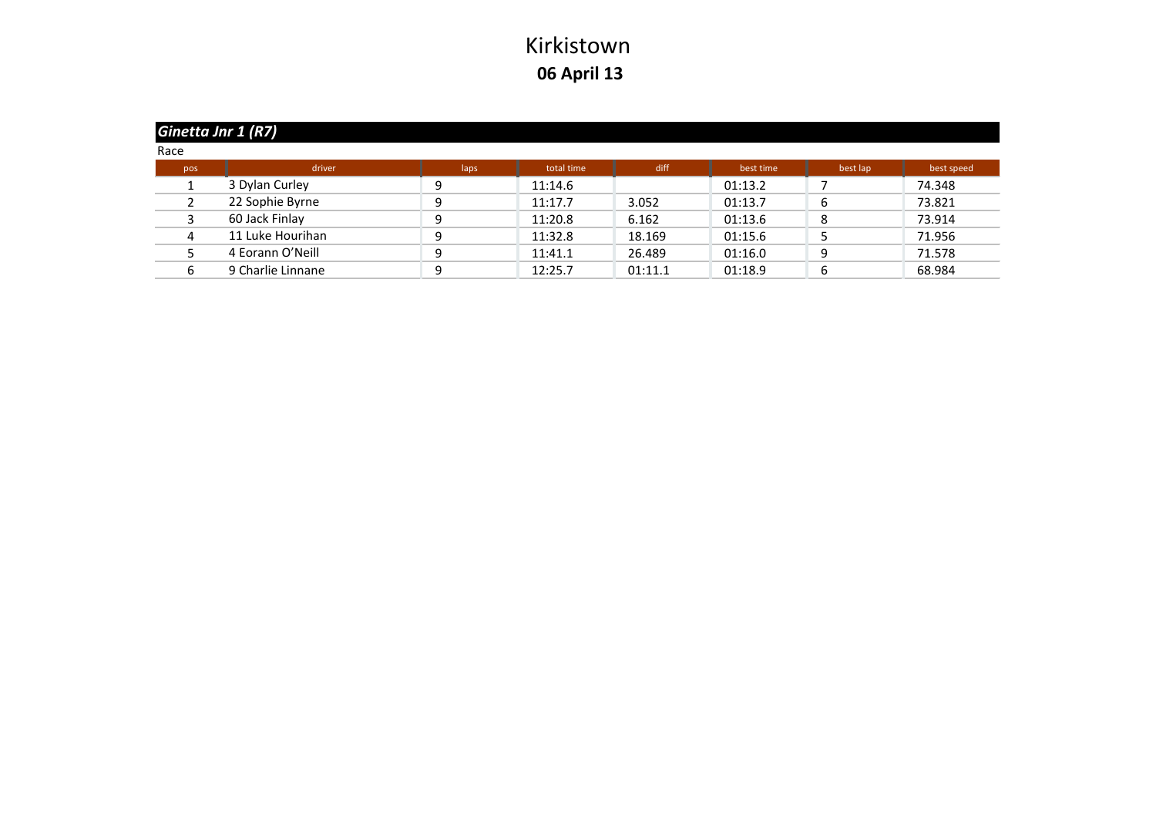|      | Ginetta Jnr 1 (R7) |      |            |         |           |          |            |  |  |  |  |
|------|--------------------|------|------------|---------|-----------|----------|------------|--|--|--|--|
| Race |                    |      |            |         |           |          |            |  |  |  |  |
| pos  | driver             | laps | total time | diff    | best time | best lap | best speed |  |  |  |  |
|      | 3 Dylan Curley     |      | 11:14.6    |         | 01:13.2   |          | 74.348     |  |  |  |  |
|      | 22 Sophie Byrne    |      | 11:17.7    | 3.052   | 01:13.7   |          | 73.821     |  |  |  |  |
|      | 60 Jack Finlay     |      | 11:20.8    | 6.162   | 01:13.6   |          | 73.914     |  |  |  |  |
|      | 11 Luke Hourihan   | Ω    | 11:32.8    | 18.169  | 01:15.6   |          | 71.956     |  |  |  |  |
|      | 4 Eorann O'Neill   |      | 11:41.1    | 26.489  | 01:16.0   |          | 71.578     |  |  |  |  |
|      | 9 Charlie Linnane  | ۵    | 12:25.7    | 01:11.1 | 01:18.9   |          | 68.984     |  |  |  |  |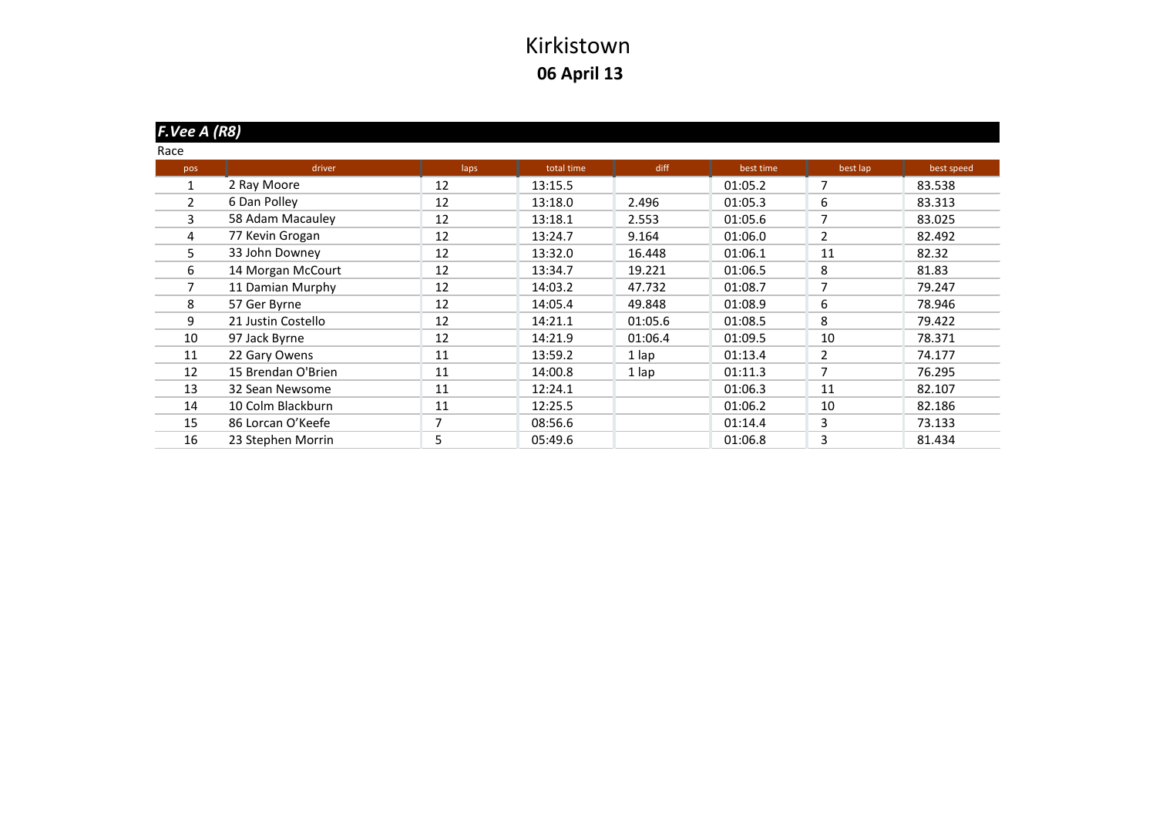| F.Vee A (R8) |                    |      |            |         |           |                |            |
|--------------|--------------------|------|------------|---------|-----------|----------------|------------|
| Race         |                    |      |            |         |           |                |            |
| pos          | driver             | laps | total time | diff    | best time | best lap       | best speed |
| 1            | 2 Ray Moore        | 12   | 13:15.5    |         | 01:05.2   | 7              | 83.538     |
| 2            | 6 Dan Polley       | 12   | 13:18.0    | 2.496   | 01:05.3   | 6              | 83.313     |
| 3            | 58 Adam Macauley   | 12   | 13:18.1    | 2.553   | 01:05.6   | $\overline{7}$ | 83.025     |
| 4            | 77 Kevin Grogan    | 12   | 13:24.7    | 9.164   | 01:06.0   | 2              | 82.492     |
| 5            | 33 John Downey     | 12   | 13:32.0    | 16.448  | 01:06.1   | 11             | 82.32      |
| 6            | 14 Morgan McCourt  | 12   | 13:34.7    | 19.221  | 01:06.5   | 8              | 81.83      |
| 7            | 11 Damian Murphy   | 12   | 14:03.2    | 47.732  | 01:08.7   | 7              | 79.247     |
| 8            | 57 Ger Byrne       | 12   | 14:05.4    | 49.848  | 01:08.9   | 6              | 78.946     |
| 9            | 21 Justin Costello | 12   | 14:21.1    | 01:05.6 | 01:08.5   | 8              | 79.422     |
| 10           | 97 Jack Byrne      | 12   | 14:21.9    | 01:06.4 | 01:09.5   | 10             | 78.371     |
| 11           | 22 Gary Owens      | 11   | 13:59.2    | 1 lap   | 01:13.4   | 2              | 74.177     |
| 12           | 15 Brendan O'Brien | 11   | 14:00.8    | 1 lap   | 01:11.3   | $\overline{7}$ | 76.295     |
| 13           | 32 Sean Newsome    | 11   | 12:24.1    |         | 01:06.3   | 11             | 82.107     |
| 14           | 10 Colm Blackburn  | 11   | 12:25.5    |         | 01:06.2   | 10             | 82.186     |
| 15           | 86 Lorcan O'Keefe  | 7    | 08:56.6    |         | 01:14.4   | 3              | 73.133     |
| 16           | 23 Stephen Morrin  | 5    | 05:49.6    |         | 01:06.8   | 3              | 81.434     |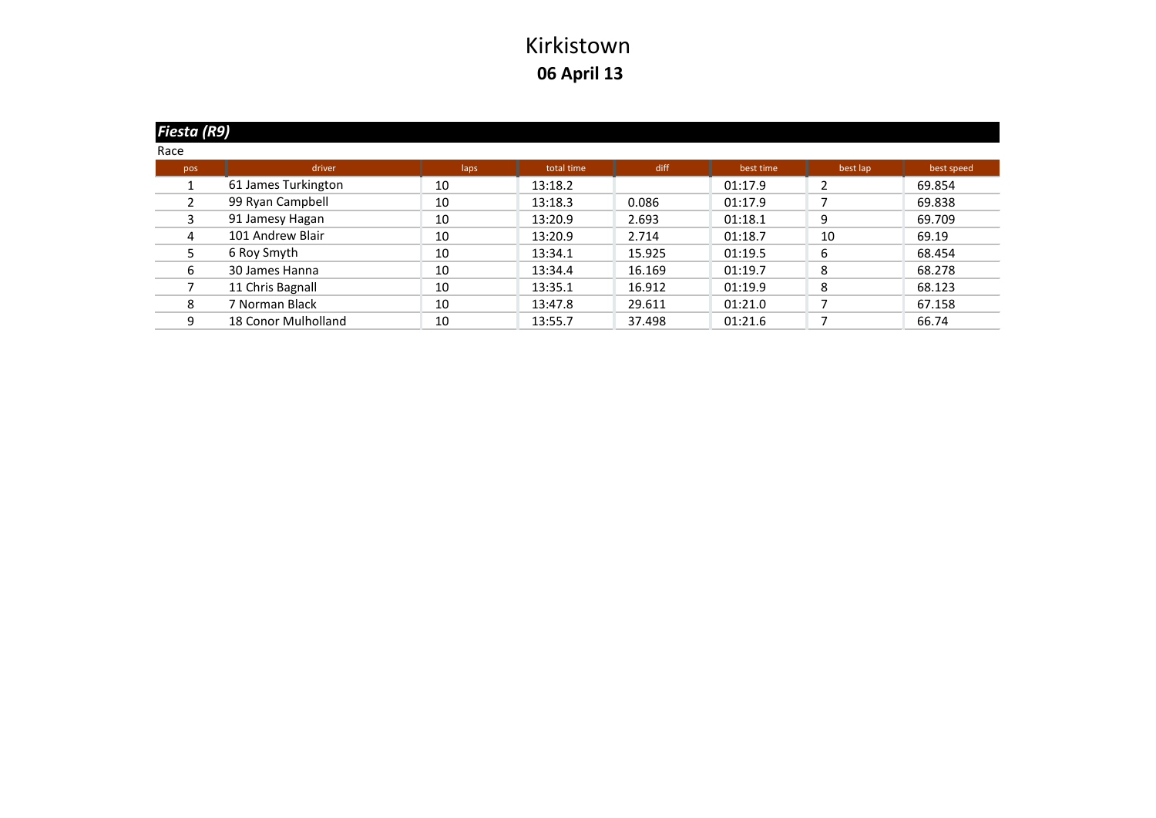| Fiesta (R9) |                     |      |            |        |           |          |            |
|-------------|---------------------|------|------------|--------|-----------|----------|------------|
| Race        |                     |      |            |        |           |          |            |
| pos         | driver              | laps | total time | diff   | best time | best lap | best speed |
|             | 61 James Turkington | 10   | 13:18.2    |        | 01:17.9   |          | 69.854     |
|             | 99 Ryan Campbell    | 10   | 13:18.3    | 0.086  | 01:17.9   |          | 69.838     |
|             | 91 Jamesy Hagan     | 10   | 13:20.9    | 2.693  | 01:18.1   | 9        | 69.709     |
| 4           | 101 Andrew Blair    | 10   | 13:20.9    | 2.714  | 01:18.7   | 10       | 69.19      |
| 5.          | 6 Roy Smyth         | 10   | 13:34.1    | 15.925 | 01:19.5   | 6        | 68.454     |
| 6           | 30 James Hanna      | 10   | 13:34.4    | 16.169 | 01:19.7   | 8        | 68.278     |
|             | 11 Chris Bagnall    | 10   | 13:35.1    | 16.912 | 01:19.9   | 8        | 68.123     |
| 8           | 7 Norman Black      | 10   | 13:47.8    | 29.611 | 01:21.0   |          | 67.158     |
| 9           | 18 Conor Mulholland | 10   | 13:55.7    | 37.498 | 01:21.6   |          | 66.74      |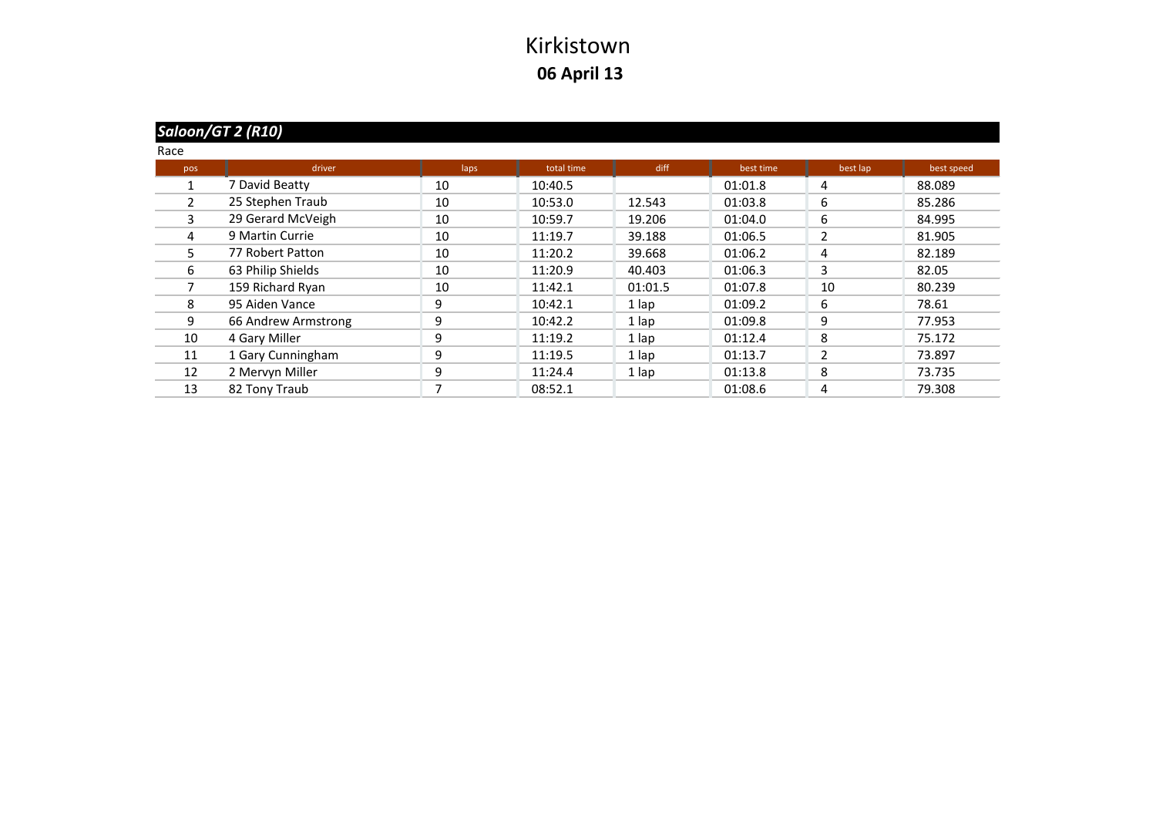# *Saloon/GT 2 (R10)*

| Race |                     |      |            |         |           |                          |            |
|------|---------------------|------|------------|---------|-----------|--------------------------|------------|
| pos  | driver              | laps | total time | diff    | best time | best lap                 | best speed |
|      | 7 David Beatty      | 10   | 10:40.5    |         | 01:01.8   | 4                        | 88.089     |
| 2    | 25 Stephen Traub    | 10   | 10:53.0    | 12.543  | 01:03.8   | 6                        | 85.286     |
| 3    | 29 Gerard McVeigh   | 10   | 10:59.7    | 19.206  | 01:04.0   | 6                        | 84.995     |
| 4    | 9 Martin Currie     | 10   | 11:19.7    | 39.188  | 01:06.5   | $\overline{\phantom{a}}$ | 81.905     |
| 5.   | 77 Robert Patton    | 10   | 11:20.2    | 39.668  | 01:06.2   | 4                        | 82.189     |
| 6    | 63 Philip Shields   | 10   | 11:20.9    | 40.403  | 01:06.3   | 3                        | 82.05      |
|      | 159 Richard Ryan    | 10   | 11:42.1    | 01:01.5 | 01:07.8   | 10                       | 80.239     |
| 8    | 95 Aiden Vance      | 9    | 10:42.1    | 1 lap   | 01:09.2   | 6                        | 78.61      |
| 9    | 66 Andrew Armstrong | 9    | 10:42.2    | 1 lap   | 01:09.8   | 9                        | 77.953     |
| 10   | 4 Gary Miller       | 9    | 11:19.2    | 1 lap   | 01:12.4   | 8                        | 75.172     |
| 11   | 1 Gary Cunningham   | 9    | 11:19.5    | 1 lap   | 01:13.7   | $\overline{2}$           | 73.897     |
| 12   | 2 Mervyn Miller     | 9    | 11:24.4    | 1 lap   | 01:13.8   | 8                        | 73.735     |
| 13   | 82 Tony Traub       |      | 08:52.1    |         | 01:08.6   | 4                        | 79.308     |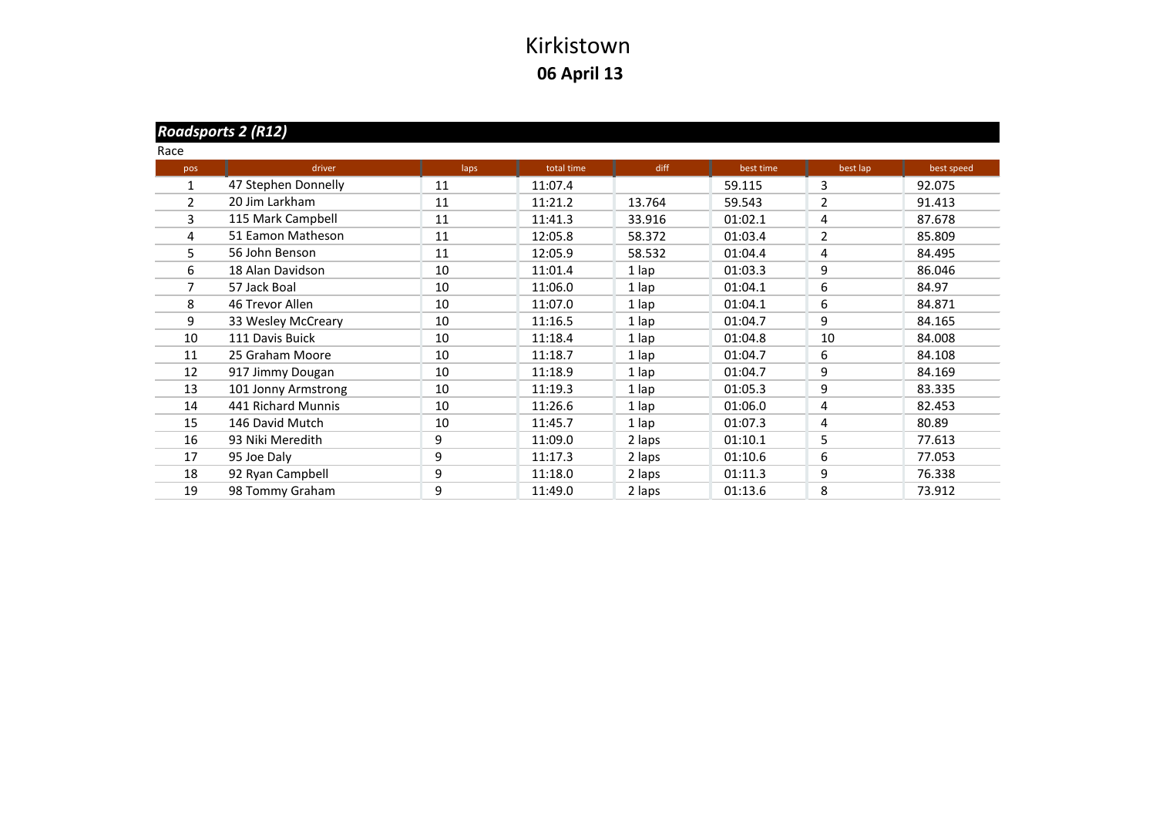#### *Roadsports 2 (R12)*

| Race |                     |      |            |        |           |                |            |
|------|---------------------|------|------------|--------|-----------|----------------|------------|
| pos  | driver              | laps | total time | diff   | best time | best lap       | best speed |
| 1    | 47 Stephen Donnelly | 11   | 11:07.4    |        | 59.115    | 3              | 92.075     |
| 2    | 20 Jim Larkham      | 11   | 11:21.2    | 13.764 | 59.543    | $\overline{2}$ | 91.413     |
| 3    | 115 Mark Campbell   | 11   | 11:41.3    | 33.916 | 01:02.1   | 4              | 87.678     |
| 4    | 51 Eamon Matheson   | 11   | 12:05.8    | 58.372 | 01:03.4   | $\overline{2}$ | 85.809     |
| 5    | 56 John Benson      | 11   | 12:05.9    | 58.532 | 01:04.4   | 4              | 84.495     |
| 6    | 18 Alan Davidson    | 10   | 11:01.4    | 1 lap  | 01:03.3   | 9              | 86.046     |
| 7    | 57 Jack Boal        | 10   | 11:06.0    | 1 lap  | 01:04.1   | 6              | 84.97      |
| 8    | 46 Trevor Allen     | 10   | 11:07.0    | 1 lap  | 01:04.1   | 6              | 84.871     |
| 9    | 33 Wesley McCreary  | 10   | 11:16.5    | 1 lap  | 01:04.7   | 9              | 84.165     |
| 10   | 111 Davis Buick     | 10   | 11:18.4    | 1 lap  | 01:04.8   | 10             | 84.008     |
| 11   | 25 Graham Moore     | 10   | 11:18.7    | 1 lap  | 01:04.7   | 6              | 84.108     |
| 12   | 917 Jimmy Dougan    | 10   | 11:18.9    | 1 lap  | 01:04.7   | 9              | 84.169     |
| 13   | 101 Jonny Armstrong | 10   | 11:19.3    | 1 lap  | 01:05.3   | 9              | 83.335     |
| 14   | 441 Richard Munnis  | 10   | 11:26.6    | 1 lap  | 01:06.0   | 4              | 82.453     |
| 15   | 146 David Mutch     | 10   | 11:45.7    | 1 lap  | 01:07.3   | 4              | 80.89      |
| 16   | 93 Niki Meredith    | 9    | 11:09.0    | 2 laps | 01:10.1   | 5              | 77.613     |
| 17   | 95 Joe Daly         | 9    | 11:17.3    | 2 laps | 01:10.6   | 6              | 77.053     |
| 18   | 92 Ryan Campbell    | 9    | 11:18.0    | 2 laps | 01:11.3   | 9              | 76.338     |
| 19   | 98 Tommy Graham     | 9    | 11:49.0    | 2 laps | 01:13.6   | 8              | 73.912     |